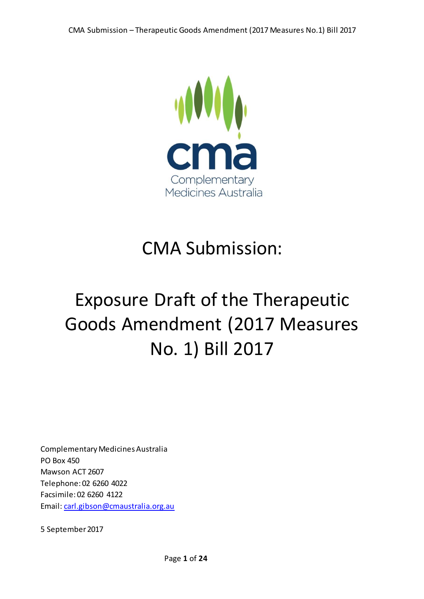

# CMA Submission:

# Exposure Draft of the Therapeutic Goods Amendment (2017 Measures No. 1) Bill 2017

Complementary Medicines Australia PO Box 450 Mawson ACT 2607 Telephone: 02 6260 4022 Facsimile: 02 6260 4122 Email[: carl.gibson@cmaustralia.org.au](mailto:carl.gibson@cmaustralia.org.au)

5 September 2017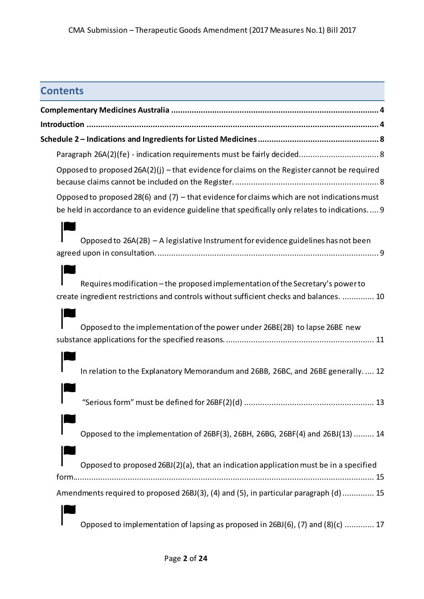## **Contents**

| Opposed to proposed 26A(2)(j) - that evidence for claims on the Register cannot be required                                                                                                     |
|-------------------------------------------------------------------------------------------------------------------------------------------------------------------------------------------------|
| Opposed to proposed 28(6) and (7) $-$ that evidence for claims which are not indications must<br>be held in accordance to an evidence guideline that specifically only relates to indications 9 |
| Opposed to 26A(2B) - A legislative Instrument for evidence guidelines has not been                                                                                                              |
| Requires modification - the proposed implementation of the Secretary's power to<br>create ingredient restrictions and controls without sufficient checks and balances.  10                      |
| Opposed to the implementation of the power under 26BE(2B) to lapse 26BE new                                                                                                                     |
| In relation to the Explanatory Memorandum and 26BB, 26BC, and 26BE generally.  12                                                                                                               |
|                                                                                                                                                                                                 |
| Opposed to the implementation of 26BF(3), 26BH, 26BG, 26BF(4) and 26BJ(13)  14                                                                                                                  |
| Opposed to proposed 26BJ(2)(a), that an indication application must be in a specified                                                                                                           |
| Amendments required to proposed 26BJ(3), (4) and (5), in particular paragraph (d)  15                                                                                                           |
| Opposed to implementation of lapsing as proposed in 26BJ(6), (7) and (8)(c)  17                                                                                                                 |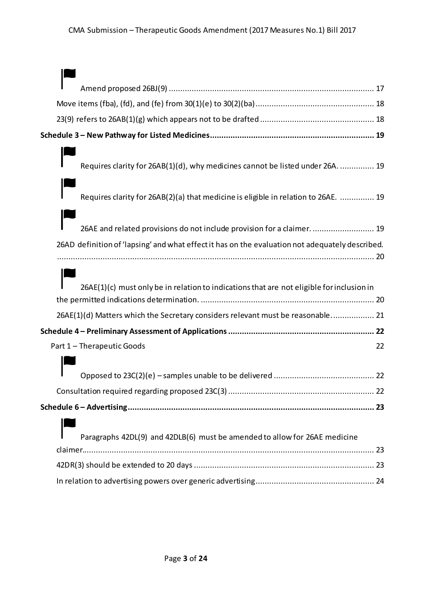| Requires clarity for 26AB(1)(d), why medicines cannot be listed under 26A.  19                  |
|-------------------------------------------------------------------------------------------------|
|                                                                                                 |
| Requires clarity for 26AB(2)(a) that medicine is eligible in relation to 26AE.  19              |
|                                                                                                 |
| 26AE and related provisions do not include provision for a claimer.  19                         |
| 26AD definition of 'lapsing' and what effect it has on the evaluation not adequately described. |
|                                                                                                 |
|                                                                                                 |
| 26AE(1)(c) must only be in relation to indications that are not eligible for inclusion in       |
|                                                                                                 |
| 26AE(1)(d) Matters which the Secretary considers relevant must be reasonable 21                 |
|                                                                                                 |
| Part 1 - Therapeutic Goods<br>22                                                                |
|                                                                                                 |
|                                                                                                 |
|                                                                                                 |
|                                                                                                 |
|                                                                                                 |
| Paragraphs 42DL(9) and 42DLB(6) must be amended to allow for 26AE medicine                      |
|                                                                                                 |
|                                                                                                 |
|                                                                                                 |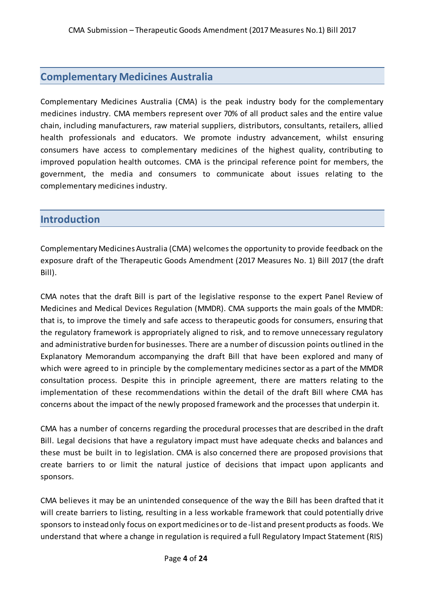## <span id="page-3-0"></span>**Complementary Medicines Australia**

Complementary Medicines Australia (CMA) is the peak industry body for the complementary medicines industry. CMA members represent over 70% of all product sales and the entire value chain, including manufacturers, raw material suppliers, distributors, consultants, retailers, allied health professionals and educators. We promote industry advancement, whilst ensuring consumers have access to complementary medicines of the highest quality, contributing to improved population health outcomes. CMA is the principal reference point for members, the government, the media and consumers to communicate about issues relating to the complementary medicines industry.

### <span id="page-3-1"></span>**Introduction**

Complementary Medicines Australia (CMA) welcomes the opportunity to provide feedback on the exposure draft of the Therapeutic Goods Amendment (2017 Measures No. 1) Bill 2017 (the draft Bill).

CMA notes that the draft Bill is part of the legislative response to the expert Panel Review of Medicines and Medical Devices Regulation (MMDR). CMA supports the main goals of the MMDR: that is, to improve the timely and safe access to therapeutic goods for consumers, ensuring that the regulatory framework is appropriately aligned to risk, and to remove unnecessary regulatory and administrative burden for businesses. There are a number of discussion points outlined in the Explanatory Memorandum accompanying the draft Bill that have been explored and many of which were agreed to in principle by the complementary medicines sector as a part of the MMDR consultation process. Despite this in principle agreement, there are matters relating to the implementation of these recommendations within the detail of the draft Bill where CMA has concerns about the impact of the newly proposed framework and the processes that underpin it.

CMA has a number of concerns regarding the procedural processes that are described in the draft Bill. Legal decisions that have a regulatory impact must have adequate checks and balances and these must be built in to legislation. CMA is also concerned there are proposed provisions that create barriers to or limit the natural justice of decisions that impact upon applicants and sponsors.

CMA believes it may be an unintended consequence of the way the Bill has been drafted that it will create barriers to listing, resulting in a less workable framework that could potentially drive sponsors to instead only focus on export medicines or to de-list and present products as foods. We understand that where a change in regulation is required a full Regulatory Impact Statement (RIS)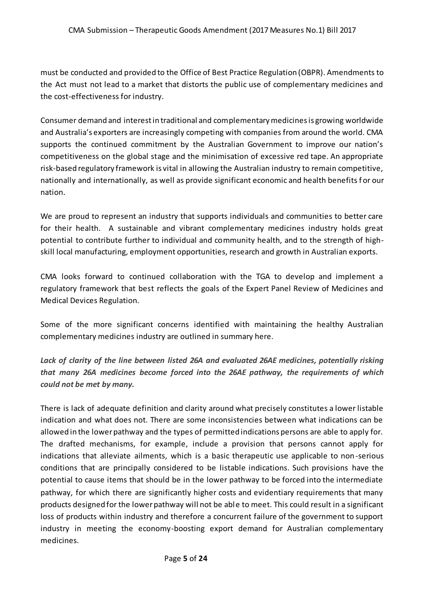must be conducted and provided to the Office of Best Practice Regulation (OBPR). Amendments to the Act must not lead to a market that distorts the public use of complementary medicines and the cost-effectiveness for industry.

Consumer demand and interest in traditional and complementary medicines is growing worldwide and Australia's exporters are increasingly competing with companies from around the world. CMA supports the continued commitment by the Australian Government to improve our nation's competitiveness on the global stage and the minimisation of excessive red tape. An appropriate risk-based regulatory framework is vital in allowing the Australian industry to remain competitive, nationally and internationally, as well as provide significant economic and health benefits for our nation.

We are proud to represent an industry that supports individuals and communities to better care for their health. A sustainable and vibrant complementary medicines industry holds great potential to contribute further to individual and community health, and to the strength of highskill local manufacturing, employment opportunities, research and growth in Australian exports.

CMA looks forward to continued collaboration with the TGA to develop and implement a regulatory framework that best reflects the goals of the Expert Panel Review of Medicines and Medical Devices Regulation.

Some of the more significant concerns identified with maintaining the healthy Australian complementary medicines industry are outlined in summary here.

*Lack of clarity of the line between listed 26A and evaluated 26AE medicines, potentially risking that many 26A medicines become forced into the 26AE pathway, the requirements of which could not be met by many.*

There is lack of adequate definition and clarity around what precisely constitutes a lower listable indication and what does not. There are some inconsistencies between what indications can be allowed in the lower pathway and the types of permitted indications persons are able to apply for. The drafted mechanisms, for example, include a provision that persons cannot apply for indications that alleviate ailments, which is a basic therapeutic use applicable to non-serious conditions that are principally considered to be listable indications. Such provisions have the potential to cause items that should be in the lower pathway to be forced into the intermediate pathway, for which there are significantly higher costs and evidentiary requirements that many products designed for the lower pathway will not be able to meet. This could result in a significant loss of products within industry and therefore a concurrent failure of the government to support industry in meeting the economy-boosting export demand for Australian complementary medicines.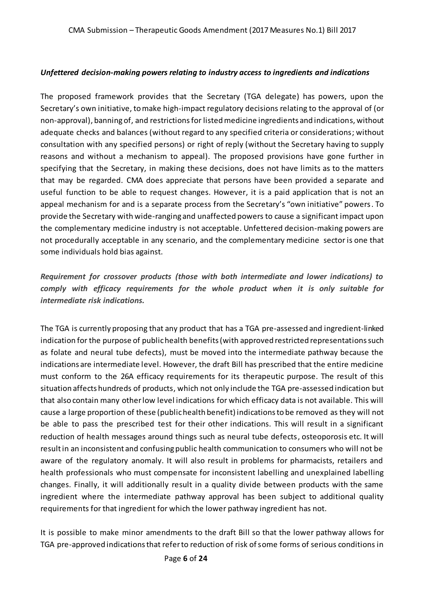#### *Unfettered decision-making powers relating to industry access to ingredients and indications*

The proposed framework provides that the Secretary (TGA delegate) has powers, upon the Secretary's own initiative, to make high-impact regulatory decisions relating to the approval of (or non-approval), banning of, and restrictions for listed medicine ingredients and indications, without adequate checks and balances (without regard to any specified criteria or considerations; without consultation with any specified persons) or right of reply (without the Secretary having to supply reasons and without a mechanism to appeal). The proposed provisions have gone further in specifying that the Secretary, in making these decisions, does not have limits as to the matters that may be regarded. CMA does appreciate that persons have been provided a separate and useful function to be able to request changes. However, it is a paid application that is not an appeal mechanism for and is a separate process from the Secretary's "own initiative" powers. To provide the Secretary with wide-ranging and unaffected powers to cause a significant impact upon the complementary medicine industry is not acceptable. Unfettered decision-making powers are not procedurally acceptable in any scenario, and the complementary medicine sector is one that some individuals hold bias against.

#### *Requirement for crossover products (those with both intermediate and lower indications) to comply with efficacy requirements for the whole product when it is only suitable for intermediate risk indications.*

The TGA is currently proposing that any product that has a TGA pre-assessed and ingredient-linked indication for the purpose of public health benefits (with approved restricted representations such as folate and neural tube defects), must be moved into the intermediate pathway because the indications are intermediate level. However, the draft Bill has prescribed that the entire medicine must conform to the 26A efficacy requirements for its therapeutic purpose. The result of this situation affects hundreds of products, which not only include the TGA pre-assessed indication but that also contain many other low level indications for which efficacy data is not available. This will cause a large proportion of these (public health benefit) indications to be removed as they will not be able to pass the prescribed test for their other indications. This will result in a significant reduction of health messages around things such as neural tube defects, osteoporosis etc. It will result in an inconsistent and confusing public health communication to consumers who will not be aware of the regulatory anomaly. It will also result in problems for pharmacists, retailers and health professionals who must compensate for inconsistent labelling and unexplained labelling changes. Finally, it will additionally result in a quality divide between products with the same ingredient where the intermediate pathway approval has been subject to additional quality requirements for that ingredient for which the lower pathway ingredient has not.

It is possible to make minor amendments to the draft Bill so that the lower pathway allows for TGA pre-approved indications that refer to reduction of risk of some forms of serious conditions in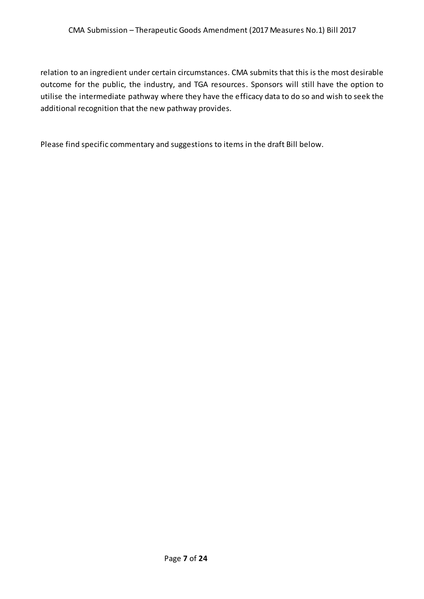relation to an ingredient under certain circumstances. CMA submits that this is the most desirable outcome for the public, the industry, and TGA resources. Sponsors will still have the option to utilise the intermediate pathway where they have the efficacy data to do so and wish to seek the additional recognition that the new pathway provides.

Please find specific commentary and suggestions to items in the draft Bill below.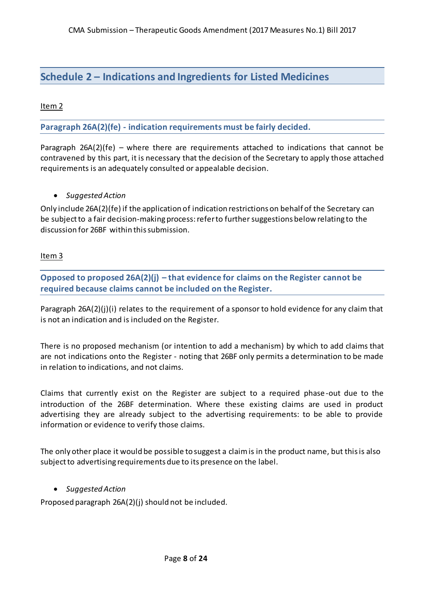## <span id="page-7-0"></span>**Schedule 2 – Indications and Ingredients for Listed Medicines**

#### Item 2

<span id="page-7-1"></span>**Paragraph 26A(2)(fe) - indication requirements must be fairly decided.**

Paragraph 26A(2)(fe) – where there are requirements attached to indications that cannot be contravened by this part, it is necessary that the decision of the Secretary to apply those attached requirements is an adequately consulted or appealable decision.

#### *Suggested Action*

Only include 26A(2)(fe) if the application of indication restrictions on behalf of the Secretary can be subject to a fair decision-making process: refer to further suggestions below relating to the discussion for 26BF within this submission.

#### Item 3

<span id="page-7-2"></span>**Opposed to proposed 26A(2)(j) – that evidence for claims on the Register cannot be required because claims cannot be included on the Register.**

Paragraph  $26A(2)(j)(i)$  relates to the requirement of a sponsor to hold evidence for any claim that is not an indication and is included on the Register.

There is no proposed mechanism (or intention to add a mechanism) by which to add claims that are not indications onto the Register - noting that 26BF only permits a determination to be made in relation to indications, and not claims.

Claims that currently exist on the Register are subject to a required phase -out due to the introduction of the 26BF determination. Where these existing claims are used in product advertising they are already subject to the advertising requirements: to be able to provide information or evidence to verify those claims.

The only other place it would be possible to suggest a claim is in the product name, but this is also subject to advertising requirements due to its presence on the label.

#### *Suggested Action*

Proposed paragraph 26A(2)(j) should not be included.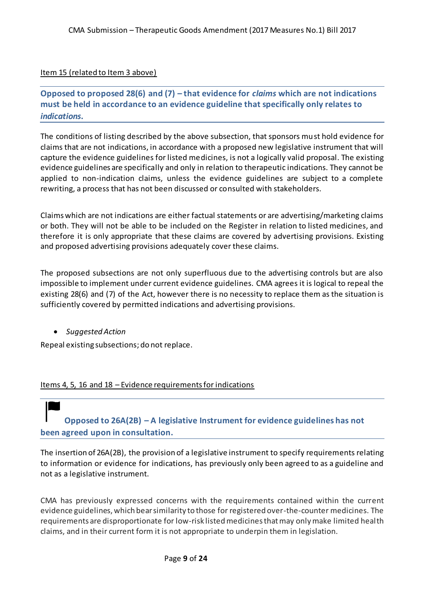#### Item 15 (related to Item 3 above)

<span id="page-8-0"></span>**Opposed to proposed 28(6) and (7) – that evidence for** *claims* **which are not indications must be held in accordance to an evidence guideline that specifically only relates to**  *indications***.**

The conditions of listing described by the above subsection, that sponsors must hold evidence for claims that are not indications, in accordance with a proposed new legislative instrument that will capture the evidence guidelines for listed medicines, is not a logically valid proposal. The existing evidence guidelines are specifically and only in relation to therapeutic indications. They cannot be applied to non-indication claims, unless the evidence guidelines are subject to a complete rewriting, a process that has not been discussed or consulted with stakeholders.

Claims which are not indications are either factual statements or are advertising/marketing claims or both. They will not be able to be included on the Register in relation to listed medicines, and therefore it is only appropriate that these claims are covered by advertising provisions. Existing and proposed advertising provisions adequately cover these claims.

The proposed subsections are not only superfluous due to the advertising controls but are also impossible to implement under current evidence guidelines. CMA agrees it is logical to repeal the existing 28(6) and (7) of the Act, however there is no necessity to replace them as the situation is sufficiently covered by permitted indications and advertising provisions.

*Suggested Action*

Repeal existing subsections; do not replace.

<span id="page-8-1"></span>Items 4, 5, 16 and 18 – Evidence requirements for indications

**Opposed to 26A(2B) – A legislative Instrument for evidence guidelines has not been agreed upon in consultation.**

The insertion of 26A(2B), the provision of a legislative instrument to specify requirements relating to information or evidence for indications, has previously only been agreed to as a guideline and not as a legislative instrument.

CMA has previously expressed concerns with the requirements contained within the current evidence guidelines, which bear similarity to those for registered over-the-counter medicines. The requirements are disproportionate for low-risk listed medicines that may only make limited health claims, and in their current form it is not appropriate to underpin them in legislation.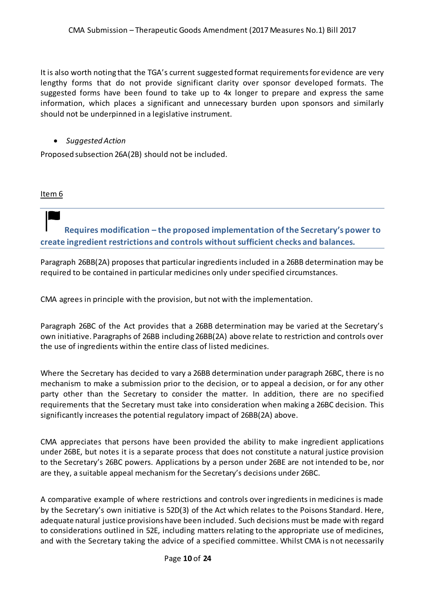It is also worth noting that the TGA's current suggested format requirements for evidence are very lengthy forms that do not provide significant clarity over sponsor developed formats. The suggested forms have been found to take up to 4x longer to prepare and express the same information, which places a significant and unnecessary burden upon sponsors and similarly should not be underpinned in a legislative instrument.

#### *Suggested Action*

Proposed subsection 26A(2B) should not be included.

<span id="page-9-0"></span>Item 6

**Requires modification – the proposed implementation of the Secretary's power to create ingredient restrictions and controls without sufficient checks and balances.**

Paragraph 26BB(2A) proposes that particular ingredients included in a 26BB determination may be required to be contained in particular medicines only under specified circumstances.

CMA agrees in principle with the provision, but not with the implementation.

Paragraph 26BC of the Act provides that a 26BB determination may be varied at the Secretary's own initiative. Paragraphs of 26BB including 26BB(2A) above relate to restriction and controls over the use of ingredients within the entire class of listed medicines.

Where the Secretary has decided to vary a 26BB determination under paragraph 26BC, there is no mechanism to make a submission prior to the decision, or to appeal a decision, or for any other party other than the Secretary to consider the matter. In addition, there are no specified requirements that the Secretary must take into consideration when making a 26BC decision. This significantly increases the potential regulatory impact of 26BB(2A) above.

CMA appreciates that persons have been provided the ability to make ingredient applications under 26BE, but notes it is a separate process that does not constitute a natural justice provision to the Secretary's 26BC powers. Applications by a person under 26BE are not intended to be, nor are they, a suitable appeal mechanism for the Secretary's decisions under 26BC.

A comparative example of where restrictions and controls over ingredients in medicines is made by the Secretary's own initiative is 52D(3) of the Act which relates to the Poisons Standard. Here, adequate natural justice provisions have been included. Such decisions must be made with regard to considerations outlined in 52E, including matters relating to the appropriate use of medicines, and with the Secretary taking the advice of a specified committee. Whilst CMA is not necessarily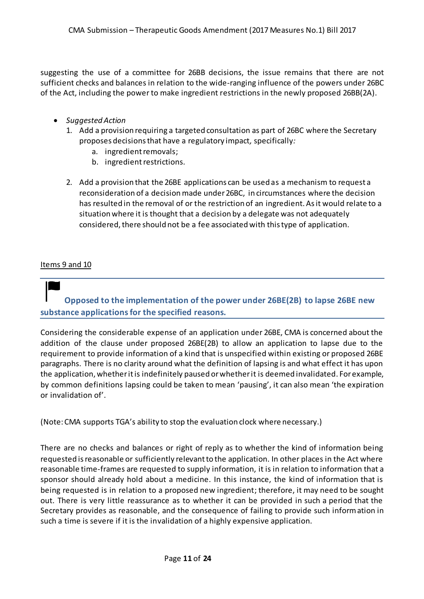suggesting the use of a committee for 26BB decisions, the issue remains that there are not sufficient checks and balances in relation to the wide-ranging influence of the powers under 26BC of the Act, including the power to make ingredient restrictions in the newly proposed 26BB(2A).

- *Suggested Action*
	- 1. Add a provision requiring a targeted consultation as part of 26BC where the Secretary proposes decisions that have a regulatory impact*,* specifically*:*
		- a. ingredient removals;
		- b. ingredient restrictions.
	- 2. Add a provision that the 26BE applications can be used as a mechanism to request a reconsideration of a decisionmade under 26BC, in circumstances where the decision has resulted in the removal of or the restriction of an ingredient. As it would relate to a situation where it is thought that a decision by a delegate was not adequately considered, there should not be a fee associated with this type of application.

#### <span id="page-10-0"></span>Items 9 and 10

## **Opposed to the implementation of the power under 26BE(2B) to lapse 26BE new substance applications for the specified reasons.**

Considering the considerable expense of an application under 26BE, CMA is concerned about the addition of the clause under proposed 26BE(2B) to allow an application to lapse due to the requirement to provide information of a kind that is unspecified within existing or proposed 26BE paragraphs. There is no clarity around what the definition of lapsing is and what effect it has upon the application, whether it is indefinitely paused or whether it is deemed invalidated. For example, by common definitions lapsing could be taken to mean 'pausing', it can also mean 'the expiration or invalidation of'.

(Note: CMA supports TGA's ability to stop the evaluation clock where necessary.)

There are no checks and balances or right of reply as to whether the kind of information being requested is reasonable or sufficiently relevant to the application. In other places in the Act where reasonable time-frames are requested to supply information, it is in relation to information that a sponsor should already hold about a medicine. In this instance, the kind of information that is being requested is in relation to a proposed new ingredient; therefore, it may need to be sought out. There is very little reassurance as to whether it can be provided in such a period that the Secretary provides as reasonable, and the consequence of failing to provide such information in such a time is severe if it is the invalidation of a highly expensive application.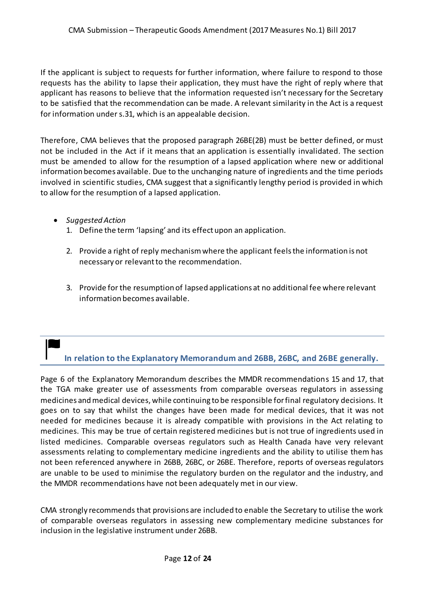If the applicant is subject to requests for further information, where failure to respond to those requests has the ability to lapse their application, they must have the right of reply where that applicant has reasons to believe that the information requested isn't necessary for the Secretary to be satisfied that the recommendation can be made. A relevant similarity in the Act is a request for information under s.31, which is an appealable decision.

Therefore, CMA believes that the proposed paragraph 26BE(2B) must be better defined, or must not be included in the Act if it means that an application is essentially invalidated. The section must be amended to allow for the resumption of a lapsed application where new or additional information becomes available. Due to the unchanging nature of ingredients and the time periods involved in scientific studies, CMA suggest that a significantly lengthy period is provided in which to allow for the resumption of a lapsed application.

- *Suggested Action*
	- 1. Define the term 'lapsing' and its effect upon an application.
	- 2. Provide a right of reply mechanism where the applicant feels the information is not necessary or relevant to the recommendation.
	- 3. Provide for the resumption of lapsed applications at no additional fee where relevant information becomes available.

## <span id="page-11-0"></span>**In relation to the Explanatory Memorandum and 26BB, 26BC, and 26BE generally.**

Page 6 of the Explanatory Memorandum describes the MMDR recommendations 15 and 17, that the TGA make greater use of assessments from comparable overseas regulators in assessing medicines and medical devices, while continuing to be responsible for final regulatory decisions. It goes on to say that whilst the changes have been made for medical devices, that it was not needed for medicines because it is already compatible with provisions in the Act relating to medicines. This may be true of certain registered medicines but is not true of ingredients used in listed medicines. Comparable overseas regulators such as Health Canada have very relevant assessments relating to complementary medicine ingredients and the ability to utilise them has not been referenced anywhere in 26BB, 26BC, or 26BE. Therefore, reports of overseas regulators are unable to be used to minimise the regulatory burden on the regulator and the industry, and the MMDR recommendations have not been adequately met in our view.

CMA strongly recommends that provisions are included to enable the Secretary to utilise the work of comparable overseas regulators in assessing new complementary medicine substances for inclusion in the legislative instrument under 26BB.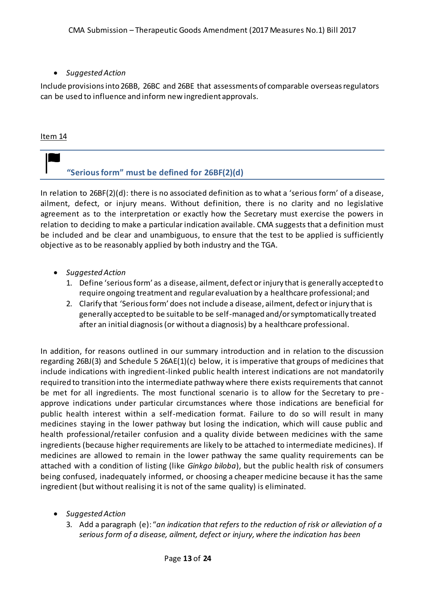#### *Suggested Action*

Include provisions into 26BB, 26BC and 26BE that assessments of comparable overseas regulators can be used to influence and inform new ingredient approvals.

#### <span id="page-12-0"></span>Item 14

## **"Serious form" must be defined for 26BF(2)(d)**

In relation to 26BF(2)(d): there is no associated definition as to what a 'serious form' of a disease, ailment, defect, or injury means. Without definition, there is no clarity and no legislative agreement as to the interpretation or exactly how the Secretary must exercise the powers in relation to deciding to make a particular indication available. CMA suggests that a definition must be included and be clear and unambiguous, to ensure that the test to be applied is sufficiently objective as to be reasonably applied by both industry and the TGA.

- *Suggested Action*
	- 1. Define 'serious form' as a disease, ailment, defect or injury that is generally accepted to require ongoing treatment and regular evaluation by a healthcare professional; and
	- 2. Clarify that 'Serious form' does not include a disease, ailment, defect or injury that is generally accepted to be suitable to be self-managed and/or symptomatically treated after an initial diagnosis (or without a diagnosis) by a healthcare professional.

In addition, for reasons outlined in our summary introduction and in relation to the discussion regarding 26BJ(3) and Schedule 5 26AE(1)(c) below, it is imperative that groups of medicines that include indications with ingredient-linked public health interest indications are not mandatorily required to transition into the intermediate pathway where there exists requirements that cannot be met for all ingredients. The most functional scenario is to allow for the Secretary to pre approve indications under particular circumstances where those indications are beneficial for public health interest within a self-medication format. Failure to do so will result in many medicines staying in the lower pathway but losing the indication, which will cause public and health professional/retailer confusion and a quality divide between medicines with the same ingredients (because higher requirements are likely to be attached to intermediate medicines). If medicines are allowed to remain in the lower pathway the same quality requirements can be attached with a condition of listing (like *Ginkgo biloba*), but the public health risk of consumers being confused, inadequately informed, or choosing a cheaper medicine because it has the same ingredient (but without realising it is not of the same quality) is eliminated.

- *Suggested Action*
	- 3. Add a paragraph (e): "*an indication that refers to the reduction of risk or alleviation of a serious form of a disease, ailment, defect or injury, where the indication has been*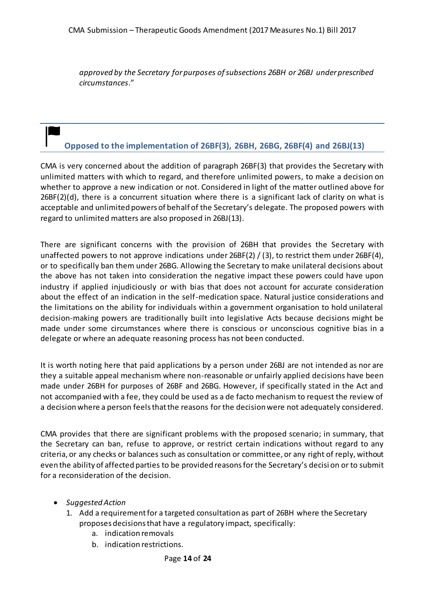*approved by the Secretary for purposes of subsections 26BH or 26BJ under prescribed circumstances*."

## <span id="page-13-0"></span>**Opposed to the implementation of 26BF(3), 26BH, 26BG, 26BF(4) and 26BJ(13)**

CMA is very concerned about the addition of paragraph 26BF(3) that provides the Secretary with unlimited matters with which to regard, and therefore unlimited powers, to make a decision on whether to approve a new indication or not. Considered in light of the matter outlined above for 26BF(2)(d), there is a concurrent situation where there is a significant lack of clarity on what is acceptable and unlimited powers of behalf of the Secretary's delegate. The proposed powers with regard to unlimited matters are also proposed in 26BJ(13).

There are significant concerns with the provision of 26BH that provides the Secretary with unaffected powers to not approve indications under 26BF(2) / (3), to restrict them under 26BF(4), or to specifically ban them under 26BG. Allowing the Secretary to make unilateral decisions about the above has not taken into consideration the negative impact these powers could have upon industry if applied injudiciously or with bias that does not account for accurate consideration about the effect of an indication in the self-medication space. Natural justice considerations and the limitations on the ability for individuals within a government organisation to hold unilateral decision-making powers are traditionally built into legislative Acts because decisions might be made under some circumstances where there is conscious or unconscious cognitive bias in a delegate or where an adequate reasoning process has not been conducted.

It is worth noting here that paid applications by a person under 26BJ are not intended as nor are they a suitable appeal mechanism where non-reasonable or unfairly applied decisions have been made under 26BH for purposes of 26BF and 26BG. However, if specifically stated in the Act and not accompanied with a fee, they could be used as a de facto mechanism to request the review of a decision where a person feels that the reasons for the decision were not adequately considered.

CMA provides that there are significant problems with the proposed scenario; in summary, that the Secretary can ban, refuse to approve, or restrict certain indications without regard to any criteria, or any checks or balances such as consultation or committee, or any right of reply, without even the ability of affected parties to be provided reasons for the Secretary's decisi on or to submit for a reconsideration of the decision.

- *Suggested Action*
	- 1. Add a requirement for a targeted consultation as part of 26BH where the Secretary proposes decisions that have a regulatory impact, specifically:
		- a. indication removals
		- b. indication restrictions.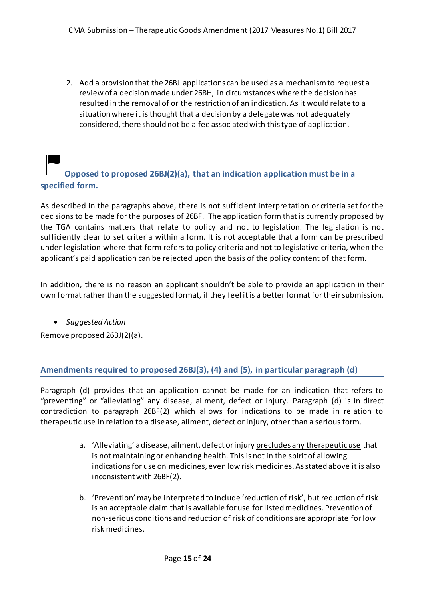2. Add a provision that the 26BJ applications can be used as a mechanism to request a review of a decision made under 26BH, in circumstances where the decision has resulted in the removal of or the restriction of an indication. As it would relate to a situation where it is thought that a decision by a delegate was not adequately considered, there should not be a fee associated with this type of application.

## <span id="page-14-0"></span>**Opposed to proposed 26BJ(2)(a), that an indication application must be in a specified form.**

As described in the paragraphs above, there is not sufficient interpre tation or criteria set for the decisions to be made for the purposes of 26BF. The application form that is currently proposed by the TGA contains matters that relate to policy and not to legislation. The legislation is not sufficiently clear to set criteria within a form. It is not acceptable that a form can be prescribed under legislation where that form refers to policy criteria and not to legislative criteria, when the applicant's paid application can be rejected upon the basis of the policy content of that form.

In addition, there is no reason an applicant shouldn't be able to provide an application in their own format rather than the suggested format, if they feel it is a better format for their submission.

#### *Suggested Action*

Remove proposed 26BJ(2)(a).

#### <span id="page-14-1"></span>**Amendments required to proposed 26BJ(3), (4) and (5), in particular paragraph (d)**

Paragraph (d) provides that an application cannot be made for an indication that refers to "preventing" or "alleviating" any disease, ailment, defect or injury. Paragraph (d) is in direct contradiction to paragraph 26BF(2) which allows for indications to be made in relation to therapeutic use in relation to a disease, ailment, defect or injury, other than a serious form.

- a. 'Alleviating' a disease, ailment, defect or injury precludes any therapeutic use that is not maintaining or enhancing health. This is not in the spirit of allowing indications for use on medicines, even low risk medicines. As stated above it is also inconsistent with 26BF(2).
- b. 'Prevention' may be interpreted to include 'reduction of risk', but reduction of risk is an acceptable claim that is available for use for listed medicines. Prevention of non-serious conditions and reduction of risk of conditions are appropriate for low risk medicines.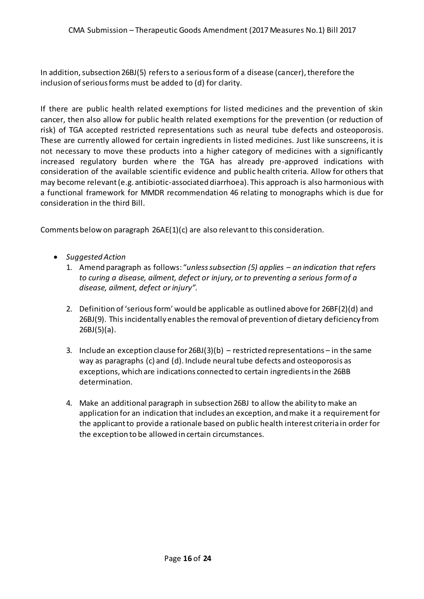In addition, subsection 26BJ(5) refers to a serious form of a disease (cancer), therefore the inclusion of serious forms must be added to (d) for clarity.

If there are public health related exemptions for listed medicines and the prevention of skin cancer, then also allow for public health related exemptions for the prevention (or reduction of risk) of TGA accepted restricted representations such as neural tube defects and osteoporosis. These are currently allowed for certain ingredients in listed medicines. Just like sunscreens, it is not necessary to move these products into a higher category of medicines with a significantly increased regulatory burden where the TGA has already pre-approved indications with consideration of the available scientific evidence and public health criteria. Allow for others that may become relevant (e.g. antibiotic-associated diarrhoea). This approach is also harmonious with a functional framework for MMDR recommendation 46 relating to monographs which is due for consideration in the third Bill.

Comments below on paragraph 26AE(1)(c) are also relevant to this consideration.

- *Suggested Action*
	- 1. Amend paragraph as follows: "*unless subsection (5) applies – an indication that refers to curing a disease, ailment, defect or injury, or to preventing a serious form of a disease, ailment, defect or injury".*
	- 2. Definition of 'serious form' would be applicable as outlined above for 26BF(2)(d) and 26BJ(9). This incidentally enablesthe removal of prevention of dietary deficiency from  $26BJ(5)(a)$ .
	- 3. Include an exception clause for  $26BJ(3)(b)$  restricted representations in the same way as paragraphs (c) and (d). Include neural tube defects and osteoporosis as exceptions, which are indications connected to certain ingredients in the 26BB determination.
	- 4. Make an additional paragraph in subsection 26BJ to allow the ability to make an application for an indication that includes an exception, and make it a requirement for the applicant to provide a rationale based on public health interest criteria in order for the exception to be allowed in certain circumstances.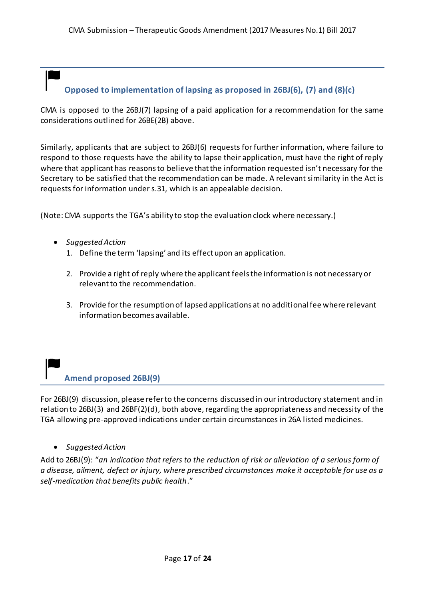## <span id="page-16-0"></span>**Opposed to implementation of lapsing as proposed in 26BJ(6), (7) and (8)(c)**

CMA is opposed to the 26BJ(7) lapsing of a paid application for a recommendation for the same considerations outlined for 26BE(2B) above.

Similarly, applicants that are subject to 26BJ(6) requests for further information, where failure to respond to those requests have the ability to lapse their application, must have the right of reply where that applicant has reasons to believe that the information requested isn't necessary for the Secretary to be satisfied that the recommendation can be made. A relevant similarity in the Act is requests for information under s.31, which is an appealable decision.

(Note: CMA supports the TGA's ability to stop the evaluation clock where necessary.)

- *Suggested Action*
	- 1. Define the term 'lapsing' and its effect upon an application.
	- 2. Provide a right of reply where the applicant feels the information is not necessary or relevant to the recommendation.
	- 3. Provide for the resumption of lapsed applications at no additional fee where relevant information becomes available.

## <span id="page-16-1"></span>**Amend proposed 26BJ(9)**

For 26BJ(9) discussion, please refer to the concerns discussed in our introductory statement and in relation to 26BJ(3) and 26BF(2)(d), both above, regarding the appropriateness and necessity of the TGA allowing pre-approved indications under certain circumstances in 26A listed medicines.

*Suggested Action*

Add to 26BJ(9): "*an indication that refers to the reduction of risk or alleviation of a serious form of a disease, ailment, defect or injury, where prescribed circumstances make it acceptable for use as a self-medication that benefits public health*."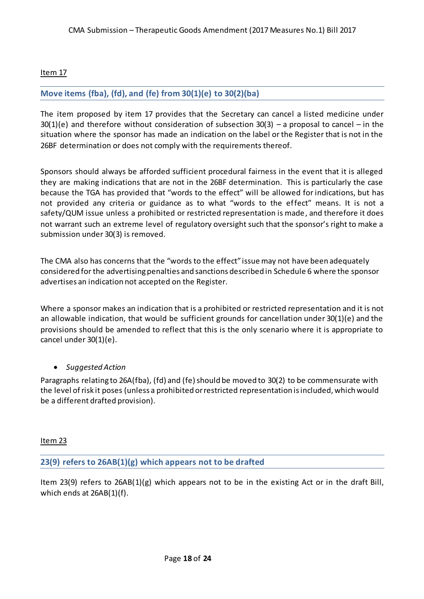Item 17

#### <span id="page-17-0"></span>**Move items (fba), (fd), and (fe) from 30(1)(e) to 30(2)(ba)**

The item proposed by item 17 provides that the Secretary can cancel a listed medicine under  $30(1)(e)$  and therefore without consideration of subsection  $30(3)$  – a proposal to cancel – in the situation where the sponsor has made an indication on the label or the Register that is not in the 26BF determination or does not comply with the requirements thereof.

Sponsors should always be afforded sufficient procedural fairness in the event that it is alleged they are making indications that are not in the 26BF determination. This is particularly the case because the TGA has provided that "words to the effect" will be allowed for indications, but has not provided any criteria or guidance as to what "words to the effect" means. It is not a safety/QUM issue unless a prohibited or restricted representation is made, and therefore it does not warrant such an extreme level of regulatory oversight such that the sponsor's right to make a submission under 30(3) is removed.

The CMA also has concerns that the "words to the effect" issue may not have been adequately considered for the advertising penalties and sanctions described in Schedule 6 where the sponsor advertises an indication not accepted on the Register.

Where a sponsor makes an indication that is a prohibited or restricted representation and it is not an allowable indication, that would be sufficient grounds for cancellation under 30(1)(e) and the provisions should be amended to reflect that this is the only scenario where it is appropriate to cancel under 30(1)(e).

#### *Suggested Action*

Paragraphs relating to 26A(fba), (fd) and (fe) should be moved to 30(2) to be commensurate with the level of risk it poses (unless a prohibited or restricted representation is included, which would be a different drafted provision).

Item 23

<span id="page-17-1"></span>**23(9) refers to 26AB(1)(g) which appears not to be drafted**

Item 23(9) refers to 26AB(1)(g) which appears not to be in the existing Act or in the draft Bill, which ends at 26AB(1)(f).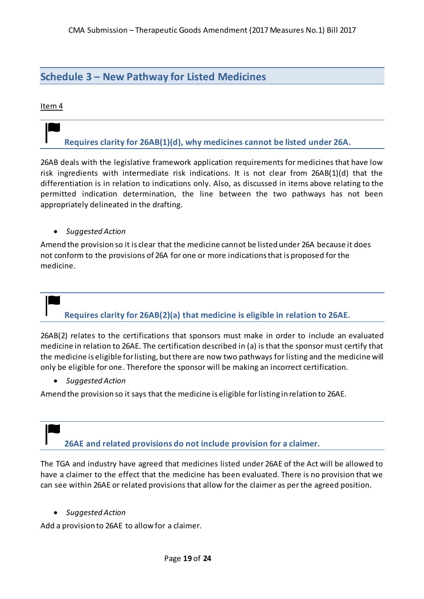### <span id="page-18-0"></span>**Schedule 3 – New Pathway for Listed Medicines**

#### <span id="page-18-1"></span>Item 4

## **Requires clarity for 26AB(1)(d), why medicines cannot be listed under 26A.**

26AB deals with the legislative framework application requirements for medicines that have low risk ingredients with intermediate risk indications. It is not clear from 26AB(1)(d) that the differentiation is in relation to indications only. Also, as discussed in items above relating to the permitted indication determination, the line between the two pathways has not been appropriately delineated in the drafting.

*Suggested Action*

Amend the provision so it is clear that the medicine cannot be listed under 26A because it does not conform to the provisions of 26A for one or more indications that is proposed for the medicine.

# <span id="page-18-2"></span>**Requires clarity for 26AB(2)(a) that medicine is eligible in relation to 26AE.**

26AB(2) relates to the certifications that sponsors must make in order to include an evaluated medicine in relation to 26AE. The certification described in (a) is that the sponsor must certify that the medicine is eligible for listing, but there are now two pathways for listing and the medicine will only be eligible for one. Therefore the sponsor will be making an incorrect certification.

*Suggested Action*

<span id="page-18-3"></span>Amend the provision so it says that the medicine is eligible for listing in relation to 26AE.

**26AE and related provisions do not include provision for a claimer.**

The TGA and industry have agreed that medicines listed under 26AE of the Act will be allowed to have a claimer to the effect that the medicine has been evaluated. There is no provision that we can see within 26AE or related provisions that allow for the claimer as per the agreed position.

*Suggested Action*

Add a provision to 26AE to allow for a claimer.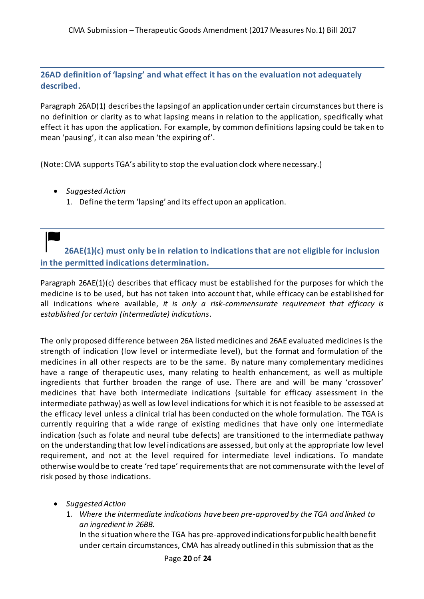<span id="page-19-0"></span>**26AD definition of 'lapsing' and what effect it has on the evaluation not adequately described.**

Paragraph 26AD(1) describes the lapsing of an application under certain circumstances but there is no definition or clarity as to what lapsing means in relation to the application, specifically what effect it has upon the application. For example, by common definitions lapsing could be taken to mean 'pausing', it can also mean 'the expiring of'.

(Note: CMA supports TGA's ability to stop the evaluation clock where necessary.)

- *Suggested Action*
	- 1. Define the term 'lapsing' and its effect upon an application.

<span id="page-19-1"></span>**26AE(1)(c) must only be in relation to indications that are not eligible for inclusion in the permitted indications determination.**

Paragraph 26AE(1)(c) describes that efficacy must be established for the purposes for which the medicine is to be used, but has not taken into account that, while efficacy can be established for all indications where available, *it is only a risk-commensurate requirement that efficacy is established for certain (intermediate) indications*.

The only proposed difference between 26A listed medicines and 26AE evaluated medicines is the strength of indication (low level or intermediate level), but the format and formulation of the medicines in all other respects are to be the same. By nature many complementary medicines have a range of therapeutic uses, many relating to health enhancement, as well as multiple ingredients that further broaden the range of use. There are and will be many 'crossover' medicines that have both intermediate indications (suitable for efficacy assessment in the intermediate pathway) as well as low level indications for which it is not feasible to be assessed at the efficacy level unless a clinical trial has been conducted on the whole formulation. The TGA is currently requiring that a wide range of existing medicines that have only one intermediate indication (such as folate and neural tube defects) are transitioned to the intermediate pathway on the understanding that low level indications are assessed, but only at the appropriate low level requirement, and not at the level required for intermediate level indications. To mandate otherwise would be to create 'red tape' requirements that are not commensurate with the level of risk posed by those indications.

- *Suggested Action*
	- 1. *Where the intermediate indications have been pre-approved by the TGA and linked to an ingredient in 26BB.*

In the situation where the TGA has pre-approved indications for public health benefit under certain circumstances, CMA has already outlined in this submission that as the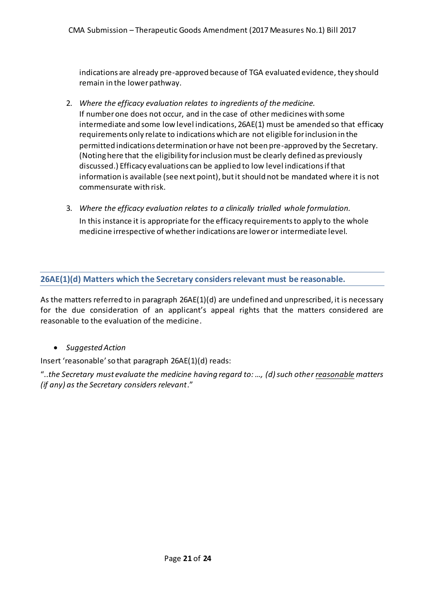indications are already pre-approved because of TGA evaluated evidence, they should remain in the lower pathway.

- 2. *Where the efficacy evaluation relates to ingredients of the medicine.* If number one does not occur, and in the case of other medicines with some intermediate and some low level indications, 26AE(1) must be amended so that efficacy requirements only relate to indications which are not eligible for inclusion in the permitted indications determination or have not been pre-approved by the Secretary. (Noting here that the eligibility for inclusion must be clearly defined as previously discussed.) Efficacy evaluations can be applied to low level indications if that information is available (see next point), but it should not be mandated where it is not commensurate with risk.
- 3. *Where the efficacy evaluation relates to a clinically trialled whole formulation.* In this instance it is appropriate for the efficacy requirements to apply to the whole medicine irrespective of whether indications are lower or intermediate level.

#### <span id="page-20-0"></span>**26AE(1)(d) Matters which the Secretary considers relevant must be reasonable.**

As the matters referred to in paragraph 26AE(1)(d) are undefined and unprescribed, it is necessary for the due consideration of an applicant's appeal rights that the matters considered are reasonable to the evaluation of the medicine.

*Suggested Action*

Insert 'reasonable' so that paragraph 26AE(1)(d) reads:

"..*the Secretary must evaluate the medicine having regard to: …, (d) such other reasonable matters (if any) as the Secretary considers relevant*."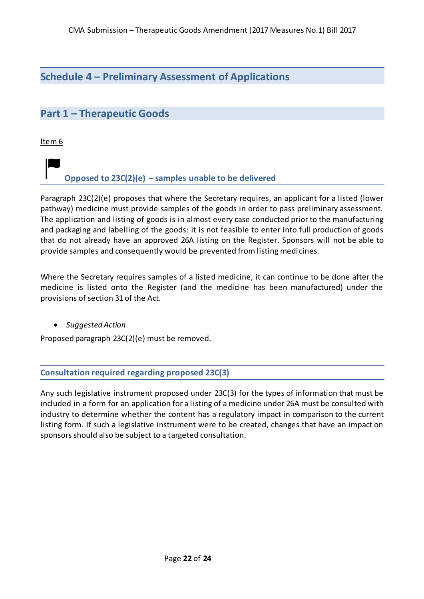## <span id="page-21-0"></span>**Schedule 4 – Preliminary Assessment of Applications**

## <span id="page-21-1"></span>**Part 1 – Therapeutic Goods**

<span id="page-21-2"></span>Item 6

## **Opposed to 23C(2)(e) – samples unable to be delivered**

Paragraph 23C(2)(e) proposes that where the Secretary requires, an applicant for a listed (lower pathway) medicine must provide samples of the goods in order to pass preliminary assessment. The application and listing of goods is in almost every case conducted prior to the manufacturing and packaging and labelling of the goods: it is not feasible to enter into full production of goods that do not already have an approved 26A listing on the Register. Sponsors will not be able to provide samples and consequently would be prevented from listing medicines.

Where the Secretary requires samples of a listed medicine, it can continue to be done after the medicine is listed onto the Register (and the medicine has been manufactured) under the provisions of section 31 of the Act.

*Suggested Action*

Proposed paragraph 23C(2)(e) must be removed.

<span id="page-21-3"></span>**Consultation required regarding proposed 23C(3)**

Any such legislative instrument proposed under 23C(3) for the types of information that must be included in a form for an application for a listing of a medicine under 26A must be consulted with industry to determine whether the content has a regulatory impact in comparison to the current listing form. If such a legislative instrument were to be created, changes that have an impact on sponsors should also be subject to a targeted consultation.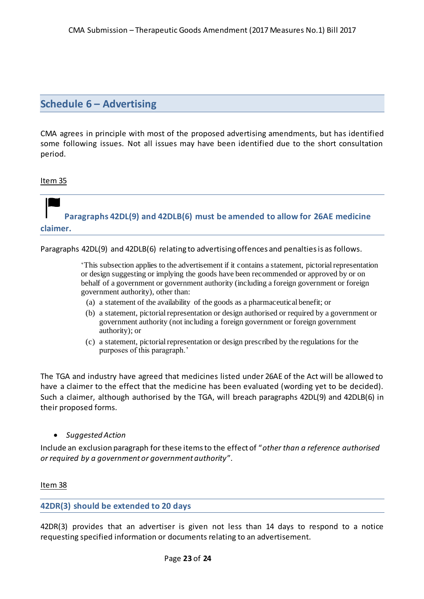### <span id="page-22-0"></span>**Schedule 6 – Advertising**

CMA agrees in principle with most of the proposed advertising amendments, but has identified some following issues. Not all issues may have been identified due to the short consultation period.

#### <span id="page-22-1"></span>Item 35

## **Paragraphs 42DL(9) and 42DLB(6) must be amended to allow for 26AE medicine claimer.**

Paragraphs 42DL(9) and 42DLB(6) relating to advertising offences and penalties is as follows.

'This subsection applies to the advertisement if it contains a statement, pictorial representation or design suggesting or implying the goods have been recommended or approved by or on behalf of a government or government authority (including a foreign government or foreign government authority), other than:

- (a) a statement of the availability of the goods as a pharmaceutical benefit; or
- (b) a statement, pictorial representation or design authorised or required by a government or government authority (not including a foreign government or foreign government authority); or
- (c) a statement, pictorial representation or design prescribed by the regulations for the purposes of this paragraph.'

The TGA and industry have agreed that medicines listed under 26AE of the Act will be allowed to have a claimer to the effect that the medicine has been evaluated (wording yet to be decided). Such a claimer, although authorised by the TGA, will breach paragraphs 42DL(9) and 42DLB(6) in their proposed forms.

*Suggested Action*

Include an exclusion paragraph for these items to the effect of "*other than a reference authorised or required by a government or government authority*".

Item 38

#### <span id="page-22-2"></span>**42DR(3) should be extended to 20 days**

42DR(3) provides that an advertiser is given not less than 14 days to respond to a notice requesting specified information or documents relating to an advertisement.